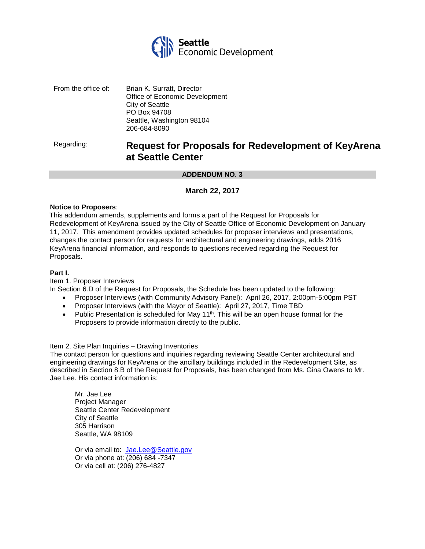

From the office of: Brian K. Surratt, Director Office of Economic Development City of Seattle PO Box 94708 Seattle, Washington 98104 206-684-8090

# Regarding: **Request for Proposals for Redevelopment of KeyArena at Seattle Center**

#### **ADDENDUM NO. 3**

### **March 22, 2017**

#### **Notice to Proposers**:

This addendum amends, supplements and forms a part of the Request for Proposals for Redevelopment of KeyArena issued by the City of Seattle Office of Economic Development on January 11, 2017. This amendment provides updated schedules for proposer interviews and presentations, changes the contact person for requests for architectural and engineering drawings, adds 2016 KeyArena financial information, and responds to questions received regarding the Request for Proposals.

#### **Part I.**

Item 1. Proposer Interviews

In Section 6.D of the Request for Proposals, the Schedule has been updated to the following:

- Proposer Interviews (with Community Advisory Panel): April 26, 2017, 2:00pm-5:00pm PST
- Proposer Interviews (with the Mayor of Seattle): April 27, 2017, Time TBD
- Public Presentation is scheduled for May  $11<sup>th</sup>$ . This will be an open house format for the Proposers to provide information directly to the public.

#### Item 2. Site Plan Inquiries – Drawing Inventories

The contact person for questions and inquiries regarding reviewing Seattle Center architectural and engineering drawings for KeyArena or the ancillary buildings included in the Redevelopment Site, as described in Section 8.B of the Request for Proposals, has been changed from Ms. Gina Owens to Mr. Jae Lee. His contact information is:

Mr. Jae Lee Project Manager Seattle Center Redevelopment City of Seattle 305 Harrison Seattle, WA 98109

Or via email to: [Jae.Lee@Seattle.gov](mailto:Jae.Lee@Seattle.gov) Or via phone at: (206) 684 -7347 Or via cell at: (206) 276-4827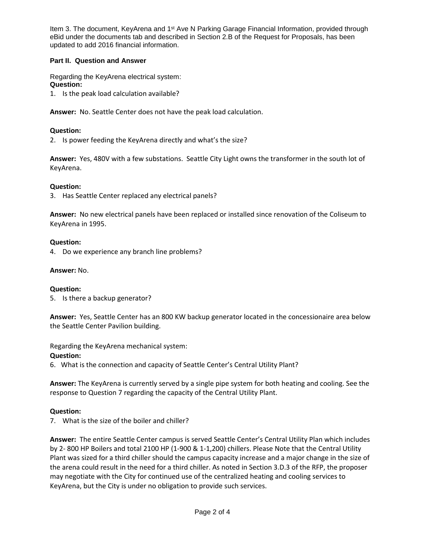Item 3. The document, KeyArena and 1<sup>st</sup> Ave N Parking Garage Financial Information, provided through eBid under the documents tab and described in Section 2.B of the Request for Proposals, has been updated to add 2016 financial information.

### **Part II. Question and Answer**

Regarding the KeyArena electrical system: **Question:**

1. Is the peak load calculation available?

**Answer:** No. Seattle Center does not have the peak load calculation.

### **Question:**

2. Is power feeding the KeyArena directly and what's the size?

**Answer:** Yes, 480V with a few substations. Seattle City Light owns the transformer in the south lot of KeyArena.

### **Question:**

3. Has Seattle Center replaced any electrical panels?

**Answer:** No new electrical panels have been replaced or installed since renovation of the Coliseum to KeyArena in 1995.

#### **Question:**

4. Do we experience any branch line problems?

#### **Answer:** No.

#### **Question:**

5. Is there a backup generator?

**Answer:** Yes, Seattle Center has an 800 KW backup generator located in the concessionaire area below the Seattle Center Pavilion building.

Regarding the KeyArena mechanical system:

### **Question:**

6. What is the connection and capacity of Seattle Center's Central Utility Plant?

**Answer:** The KeyArena is currently served by a single pipe system for both heating and cooling. See the response to Question 7 regarding the capacity of the Central Utility Plant.

### **Question:**

7. What is the size of the boiler and chiller?

**Answer:** The entire Seattle Center campus is served Seattle Center's Central Utility Plan which includes by 2- 800 HP Boilers and total 2100 HP (1-900 & 1-1,200) chillers. Please Note that the Central Utility Plant was sized for a third chiller should the campus capacity increase and a major change in the size of the arena could result in the need for a third chiller. As noted in Section 3.D.3 of the RFP, the proposer may negotiate with the City for continued use of the centralized heating and cooling services to KeyArena, but the City is under no obligation to provide such services.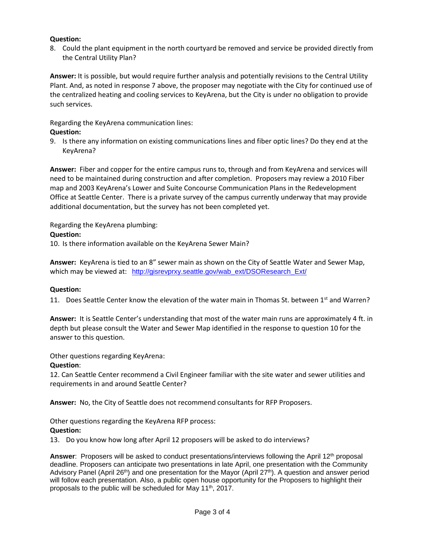### **Question:**

8. Could the plant equipment in the north courtyard be removed and service be provided directly from the Central Utility Plan?

**Answer:** It is possible, but would require further analysis and potentially revisions to the Central Utility Plant. And, as noted in response 7 above, the proposer may negotiate with the City for continued use of the centralized heating and cooling services to KeyArena, but the City is under no obligation to provide such services.

Regarding the KeyArena communication lines:

### **Question:**

9. Is there any information on existing communications lines and fiber optic lines? Do they end at the KeyArena?

**Answer:** Fiber and copper for the entire campus runs to, through and from KeyArena and services will need to be maintained during construction and after completion. Proposers may review a 2010 Fiber map and 2003 KeyArena's Lower and Suite Concourse Communication Plans in the Redevelopment Office at Seattle Center. There is a private survey of the campus currently underway that may provide additional documentation, but the survey has not been completed yet.

Regarding the KeyArena plumbing:

### **Question:**

10. Is there information available on the KeyArena Sewer Main?

**Answer:** KeyArena is tied to an 8" sewer main as shown on the City of Seattle Water and Sewer Map, which may be viewed at: [http://gisrevprxy.seattle.gov/wab\\_ext/DSOResearch\\_Ext/](http://gisrevprxy.seattle.gov/wab_ext/DSOResearch_Ext/)

### **Question:**

11.Does Seattle Center know the elevation of the water main in Thomas St. between 1st and Warren?

**Answer:** It is Seattle Center's understanding that most of the water main runs are approximately 4 ft. in depth but please consult the Water and Sewer Map identified in the response to question 10 for the answer to this question.

Other questions regarding KeyArena:

### **Question**:

12. Can Seattle Center recommend a Civil Engineer familiar with the site water and sewer utilities and requirements in and around Seattle Center?

**Answer:** No, the City of Seattle does not recommend consultants for RFP Proposers.

Other questions regarding the KeyArena RFP process:

## **Question:**

13.Do you know how long after April 12 proposers will be asked to do interviews?

Answer: Proposers will be asked to conduct presentations/interviews following the April 12<sup>th</sup> proposal deadline. Proposers can anticipate two presentations in late April, one presentation with the Community Advisory Panel (April 26<sup>th</sup>) and one presentation for the Mayor (April 27<sup>th</sup>). A question and answer period will follow each presentation. Also, a public open house opportunity for the Proposers to highlight their proposals to the public will be scheduled for May 11th, 2017.